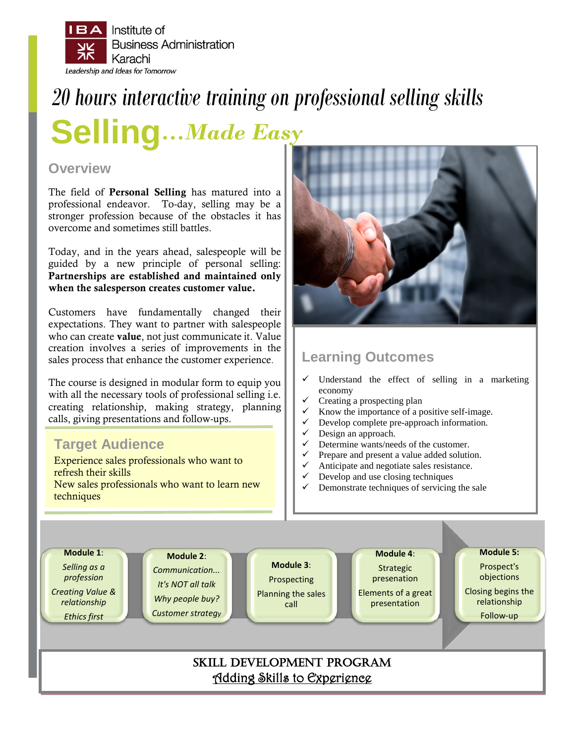

# *20 hours interactive training on professional selling skills*

**Selling…***Made Easy*

### **Overview**

The field of Personal Selling has matured into a professional endeavor. To-day, selling may be a stronger profession because of the obstacles it has overcome and sometimes still battles.

Today, and in the years ahead, salespeople will be guided by a new principle of personal selling: Partnerships are established and maintained only when the salesperson creates customer value.

Customers have fundamentally changed their expectations. They want to partner with salespeople who can create value, not just communicate it. Value creation involves a series of improvements in the sales process that enhance the customer experience.

The course is designed in modular form to equip you with all the necessary tools of professional selling i.e. creating relationship, making strategy, planning calls, giving presentations and follow-ups.

## **Target Audience**

Experience sales professionals who want to refresh their skills New sales professionals who want to learn new techniques



## **Learning Outcomes**

- $\checkmark$  Understand the effect of selling in a marketing economy
- Creating a prospecting plan
- $\checkmark$  Know the importance of a positive self-image.
- Develop complete pre-approach information.
- Design an approach.
- Determine wants/needs of the customer.
- Prepare and present a value added solution.
- Anticipate and negotiate sales resistance.
- $\checkmark$  Develop and use closing techniques<br> $\checkmark$  Demonstrate techniques of servicing
- Demonstrate techniques of servicing the sale

**Module 1**: *Selling as a profession Creating Value & relationship Ethics first* **Module 2**: *Communication... It's NOT all talk Why people buy? Customer strategy* **Module 3**: Prospecting Planning the sales call **Module 4**: Strategic presenation Elements of a great presentation **Module 5:** Prospect's objections Closing begins the relationship Follow-up SKILL DEVELOPMENT PROGRAM Adding Skills to Experience